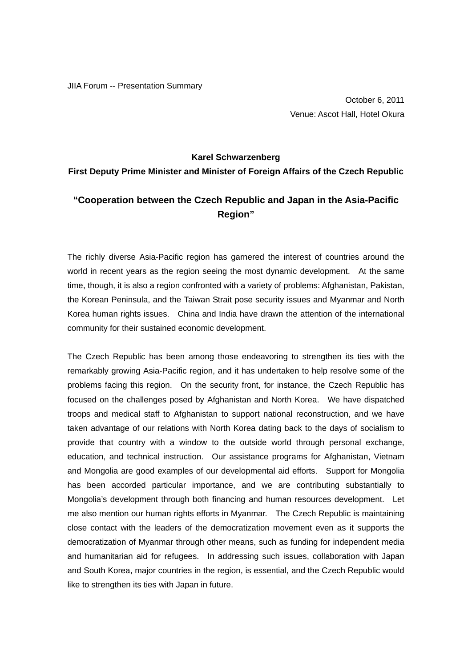JIIA Forum -- Presentation Summary

October 6, 2011 Venue: Ascot Hall, Hotel Okura

## **Karel Schwarzenberg**

**First Deputy Prime Minister and Minister of Foreign Affairs of the Czech Republic** 

## **"Cooperation between the Czech Republic and Japan in the Asia-Pacific Region"**

The richly diverse Asia-Pacific region has garnered the interest of countries around the world in recent years as the region seeing the most dynamic development. At the same time, though, it is also a region confronted with a variety of problems: Afghanistan, Pakistan, the Korean Peninsula, and the Taiwan Strait pose security issues and Myanmar and North Korea human rights issues. China and India have drawn the attention of the international community for their sustained economic development.

The Czech Republic has been among those endeavoring to strengthen its ties with the remarkably growing Asia-Pacific region, and it has undertaken to help resolve some of the problems facing this region. On the security front, for instance, the Czech Republic has focused on the challenges posed by Afghanistan and North Korea. We have dispatched troops and medical staff to Afghanistan to support national reconstruction, and we have taken advantage of our relations with North Korea dating back to the days of socialism to provide that country with a window to the outside world through personal exchange, education, and technical instruction. Our assistance programs for Afghanistan, Vietnam and Mongolia are good examples of our developmental aid efforts. Support for Mongolia has been accorded particular importance, and we are contributing substantially to Mongolia's development through both financing and human resources development. Let me also mention our human rights efforts in Myanmar. The Czech Republic is maintaining close contact with the leaders of the democratization movement even as it supports the democratization of Myanmar through other means, such as funding for independent media and humanitarian aid for refugees. In addressing such issues, collaboration with Japan and South Korea, major countries in the region, is essential, and the Czech Republic would like to strengthen its ties with Japan in future.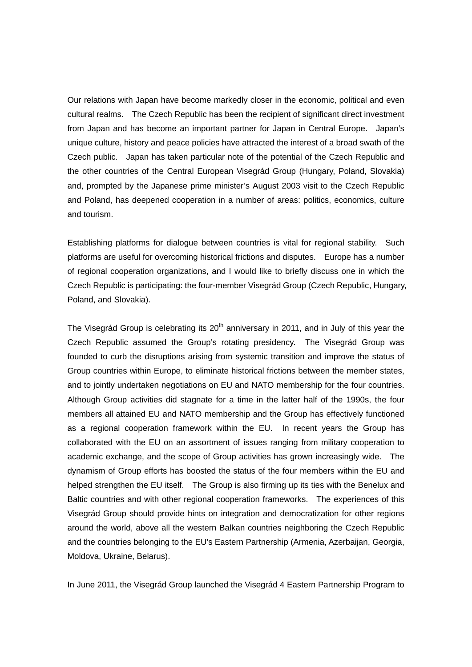Our relations with Japan have become markedly closer in the economic, political and even cultural realms. The Czech Republic has been the recipient of significant direct investment from Japan and has become an important partner for Japan in Central Europe. Japan's unique culture, history and peace policies have attracted the interest of a broad swath of the Czech public. Japan has taken particular note of the potential of the Czech Republic and the other countries of the Central European Visegrád Group (Hungary, Poland, Slovakia) and, prompted by the Japanese prime minister's August 2003 visit to the Czech Republic and Poland, has deepened cooperation in a number of areas: politics, economics, culture and tourism.

Establishing platforms for dialogue between countries is vital for regional stability. Such platforms are useful for overcoming historical frictions and disputes. Europe has a number of regional cooperation organizations, and I would like to briefly discuss one in which the Czech Republic is participating: the four-member Visegrád Group (Czech Republic, Hungary, Poland, and Slovakia).

The Visegrád Group is celebrating its  $20<sup>th</sup>$  anniversary in 2011, and in July of this year the Czech Republic assumed the Group's rotating presidency. The Visegrád Group was founded to curb the disruptions arising from systemic transition and improve the status of Group countries within Europe, to eliminate historical frictions between the member states, and to jointly undertaken negotiations on EU and NATO membership for the four countries. Although Group activities did stagnate for a time in the latter half of the 1990s, the four members all attained EU and NATO membership and the Group has effectively functioned as a regional cooperation framework within the EU. In recent years the Group has collaborated with the EU on an assortment of issues ranging from military cooperation to academic exchange, and the scope of Group activities has grown increasingly wide. The dynamism of Group efforts has boosted the status of the four members within the EU and helped strengthen the EU itself. The Group is also firming up its ties with the Benelux and Baltic countries and with other regional cooperation frameworks. The experiences of this Visegrád Group should provide hints on integration and democratization for other regions around the world, above all the western Balkan countries neighboring the Czech Republic and the countries belonging to the EU's Eastern Partnership (Armenia, Azerbaijan, Georgia, Moldova, Ukraine, Belarus).

In June 2011, the Visegrád Group launched the Visegrád 4 Eastern Partnership Program to